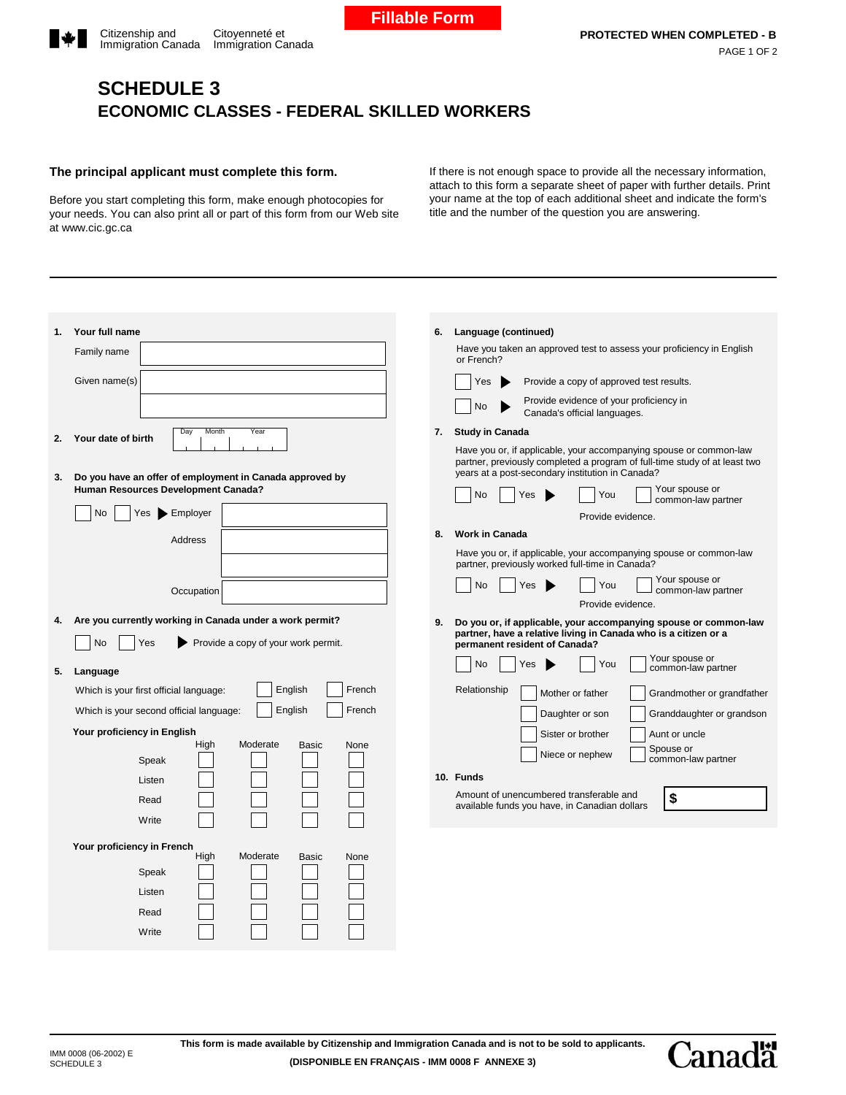## **SCHEDULE 3 ECONOMIC CLASSES - FEDERAL SKILLED WORKERS**

## **The principal applicant must complete this form.**

Before you start completing this form, make enough photocopies for your needs. You can also print all or part of this form from our Web site at www.cic.gc.ca

If there is not enough space to provide all the necessary information, attach to this form a separate sheet of paper with further details. Print your name at the top of each additional sheet and indicate the form's title and the number of the question you are answering.

| Your full name<br>1.<br>Family name<br>Given name(s)<br>Day<br>Month<br>Year<br>Your date of birth<br>2.<br>Do you have an offer of employment in Canada approved by<br>3.<br>Human Resources Development Canada?<br>No<br>Yes Employer<br>Address<br>Occupation | Language (continued)<br>6.<br>Have you taken an approved test to assess your proficiency in English<br>or French?<br>Yes<br>Provide a copy of approved test results.<br>Provide evidence of your proficiency in<br>No<br>Canada's official languages.<br><b>Study in Canada</b><br>7.<br>Have you or, if applicable, your accompanying spouse or common-law<br>partner, previously completed a program of full-time study of at least two<br>years at a post-secondary institution in Canada?<br>Your spouse or<br><b>No</b><br>Yes<br>You<br>common-law partner<br>Provide evidence.<br><b>Work in Canada</b><br>8.<br>Have you or, if applicable, your accompanying spouse or common-law<br>partner, previously worked full-time in Canada?<br>Your spouse or<br><b>No</b><br>Yes<br>You<br>common-law partner |  |
|------------------------------------------------------------------------------------------------------------------------------------------------------------------------------------------------------------------------------------------------------------------|------------------------------------------------------------------------------------------------------------------------------------------------------------------------------------------------------------------------------------------------------------------------------------------------------------------------------------------------------------------------------------------------------------------------------------------------------------------------------------------------------------------------------------------------------------------------------------------------------------------------------------------------------------------------------------------------------------------------------------------------------------------------------------------------------------------|--|
|                                                                                                                                                                                                                                                                  |                                                                                                                                                                                                                                                                                                                                                                                                                                                                                                                                                                                                                                                                                                                                                                                                                  |  |
|                                                                                                                                                                                                                                                                  |                                                                                                                                                                                                                                                                                                                                                                                                                                                                                                                                                                                                                                                                                                                                                                                                                  |  |
|                                                                                                                                                                                                                                                                  |                                                                                                                                                                                                                                                                                                                                                                                                                                                                                                                                                                                                                                                                                                                                                                                                                  |  |
|                                                                                                                                                                                                                                                                  |                                                                                                                                                                                                                                                                                                                                                                                                                                                                                                                                                                                                                                                                                                                                                                                                                  |  |
|                                                                                                                                                                                                                                                                  |                                                                                                                                                                                                                                                                                                                                                                                                                                                                                                                                                                                                                                                                                                                                                                                                                  |  |
|                                                                                                                                                                                                                                                                  | Provide evidence.                                                                                                                                                                                                                                                                                                                                                                                                                                                                                                                                                                                                                                                                                                                                                                                                |  |
| Are you currently working in Canada under a work permit?<br>4.<br>Yes<br>Provide a copy of your work permit.<br><b>No</b>                                                                                                                                        | Do you or, if applicable, your accompanying spouse or common-law<br>9.<br>partner, have a relative living in Canada who is a citizen or a<br>permanent resident of Canada?                                                                                                                                                                                                                                                                                                                                                                                                                                                                                                                                                                                                                                       |  |
| 5.<br>Language                                                                                                                                                                                                                                                   | Your spouse or<br>No<br>You<br>Yes<br>common-law partner                                                                                                                                                                                                                                                                                                                                                                                                                                                                                                                                                                                                                                                                                                                                                         |  |
| English<br>French<br>Which is your first official language:<br>English<br>French<br>Which is your second official language:                                                                                                                                      | Relationship<br>Mother or father<br>Grandmother or grandfather<br>Daughter or son<br>Granddaughter or grandson                                                                                                                                                                                                                                                                                                                                                                                                                                                                                                                                                                                                                                                                                                   |  |
| Your proficiency in English<br>High<br>Moderate<br>Basic<br>None<br>Speak                                                                                                                                                                                        | Sister or brother<br>Aunt or uncle<br>Spouse or<br>Niece or nephew<br>common-law partner                                                                                                                                                                                                                                                                                                                                                                                                                                                                                                                                                                                                                                                                                                                         |  |
| Listen<br>Read<br>Write                                                                                                                                                                                                                                          | 10. Funds<br>Amount of unencumbered transferable and<br>\$<br>available funds you have, in Canadian dollars                                                                                                                                                                                                                                                                                                                                                                                                                                                                                                                                                                                                                                                                                                      |  |
| Your proficiency in French<br>High<br>Moderate<br><b>Basic</b><br>None<br>Speak<br>Listen<br>Read<br>Write                                                                                                                                                       |                                                                                                                                                                                                                                                                                                                                                                                                                                                                                                                                                                                                                                                                                                                                                                                                                  |  |